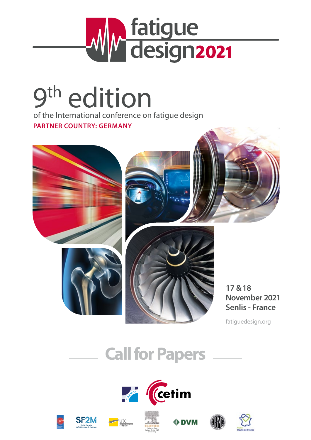

# 9<sup>th</sup> edition

of the International conference on fatigue design **PARTNER COUNTRY: GERMANY**







**17 &18 November 2021 Senlis - France**

fatiguedesign.org

# **Call for Papers**

Publisher of the













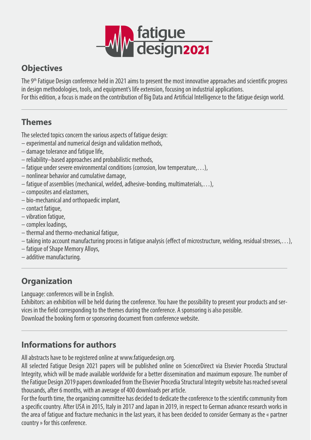

# **Objectives**

The 9th Fatigue Design conference held in 2021 aims to present the most innovative approaches and scientific progress in design methodologies, tools, and equipment's life extension, focusing on industrial applications. For this edition, a focus is made on the contribution of Big Data and Artificial Intelligence to the fatigue design world.

# **Themes**

The selected topics concern the various aspects of fatigue design:

- experimental and numerical design and validation methods,
- damage tolerance and fatigue life,
- reliability–based approaches and probabilistic methods,
- fatigue under severe environmental conditions (corrosion, low temperature,…),
- nonlinear behavior and cumulative damage,
- fatigue of assemblies (mechanical, welded, adhesive-bonding, multimaterials,…),
- composites and elastomers,
- bio-mechanical and orthopaedic implant,
- contact fatigue,
- vibration fatigue,
- complex loadings,
- thermal and thermo-mechanical fatigue,
- taking into account manufacturing process in fatigue analysis (effect of microstructure, welding, residual stresses,…),
- fatigue of Shape Memory Alloys,
- additive manufacturing.

# **Organization**

Language: conferences will be in English.

Exhibitors: an exhibition will be held during the conference. You have the possibility to present your products and services in the field corresponding to the themes during the conference. A sponsoring is also possible. Download the booking form or sponsoring document from conference website.

# **Informations for authors**

All abstracts have to be registered online at www.fatiguedesign.org.

All selected Fatigue Design 2021 papers will be published online on ScienceDirect via Elsevier Procedia Structural Integrity, which will be made available worldwide for a better dissemination and maximum exposure. The number of the Fatigue Design 2019 papers downloaded from the Elsevier Procedia Structural Integrity website has reached several thousands, after 6 months, with an average of 400 downloads per article.

For the fourth time, the organizing committee has decided to dedicate the conference to the scientific community from a specific country. After USA in 2015, Italy in 2017 and Japan in 2019, in respect to German advance research works in the area of fatigue and fracture mechanics in the last years, it has been decided to consider Germany as the « partner country » for this conference.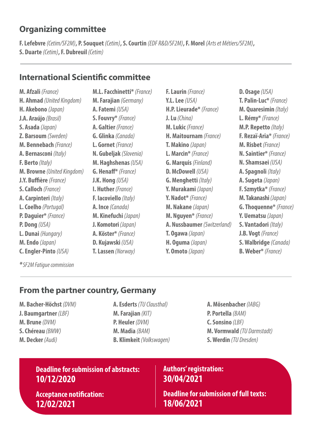## **Organizing committee**

**F. Lefebvre** *(Cetim/SF2M)***, P. Souquet** *(Cetim)***, S. Courtin** *(EDF R&D/SF2M)***,F. Morel** *(Arts et Métiers/SF2M)***, S. Duarte** *(Cetim)***,F. Dubreuil** *(Cetim)*

#### **International Scientific committee**

**M. Afzali** *(France)* **H. Ahmad** *(United Kingdom)* **H. Akebono** *(Japan)* **J.A. Araújo** *(Brasil)* **S. Asada** *(Japan)* **Z. Barsoum** *(Sweden)* **M. Bennebach** *(France)* **A. Bernasconi** *(Italy)* **F. Berto** *(Italy)* **M. Browne** *(United Kingdom)* **J.Y. Buffière** *(France)* **S. Calloch** *(France)* **A. Carpinteri** *(Italy)* **L. Coelho** *(Portugal)* **P. Daguier\*** *(France)* **P. Dong** *(USA)* **L. Dunai** *(Hungary)* **M. Endo** *(Japan)* **C. Engler-Pinto** *(USA)*

**M.L. Facchinetti\*** *(France)* **M. Farajian** *(Germany)* **A. Fatemi** *(USA)* **S. Fouvry\*** *(France)* **A. Galtier** *(France)* **G. Glinka** *(Canada)* **L. Gornet** *(France)* **N. Gubeljak** *(Slovenia)* **M. Haghshenas** *(USA)* **G. Henaff\*** *(France)* **J.K. Hong** *(USA)* **I. Huther** *(France)* **F. Iacoviello** *(Italy)* **A. Ince** *(Canada)* **M. Kinefuchi** *(Japan)* **J. Komotori** *(Japan)* **A. Köster\*** *(France)* **D. Kujawski** *(USA)* **T. Lassen** *(Norway)*

**F. Laurin** *(France)* **Y.L. Lee** *(USA)* **H.P. Lieurade\*** *(France)* **J. Lu** *(China)* **M. Lukic** *(France)* **H. Maitournam** *(France)* **T. Makino** *(Japan)* **L. Marcin\*** *(France)* **G. Marquis** *(Finland)* **D. McDowell** *(USA)* **G. Menghetti** *(Italy)* **Y. Murakami** *(Japan)* **Y. Nadot\*** *(France)* **M. Nakane** *(Japan)* **M. Nguyen\*** *(France)* **A. Nussbaumer** *(Switzerland)* **T. Ogawa** *(Japan)* **H. Oguma** *(Japan)* **Y. Omoto** *(Japan)*

**D. Osage** *(USA)* **T. Palin-Luc\*** *(France)* **M. Quaresimin** *(Italy)* **L. Rémy\*** *(France)* **M.P. Repetto** *(Italy)* **F. Rezaï-Aria\*** *(France)* **M. Risbet** *(France)* **N. Saintier\*** *(France)* **N. Shamsaei** *(USA)* **A. Spagnoli** *(Italy)* **A. Sugeta** *(Japan)* **F. Szmytka\*** *(France)* **M. Takanashi** *(Japan)* **G. Thoquenne\*** *(France)* **Y. Uematsu** *(Japan)* **S. Vantadori** *(Italy)* **J.B. Vogt** *(France)* **S. Walbridge** *(Canada)* **B. Weber\*** *(France)*

*\*SF2M Fatigue commission*

#### **From the partner country, Germany**

- **M. Bacher-Höchst** *(DVM)* **J. Baumgartner** *(LBF)* **M. Brune** *(DVM)* **S. Chéreau** *(BMW)* **M. Decker** *(Audi)*
- **A. Esderts** *(TU Clausthal)* **M. Farajian** *(KIT)* **P. Heuler** *(DVM)* **M. Madia** *(BAM)* **B. Klimkeit** *(Volkswagen)*
- **A. Mösenbacher** *(IABG)* **P. Portella** *(BAM)* **C. Sonsino** *(LBF)* **M. Vormwald** *(TU Darmstadt)* **S. Werdin** *(TU Dresden)*

#### **Deadline for submission of abstracts: 10/12/2020**

**Acceptance notification: 12/02/2021**

#### **Authors' registration: 30/04/2021**

**Deadline for submission of full texts: 18/06/2021**